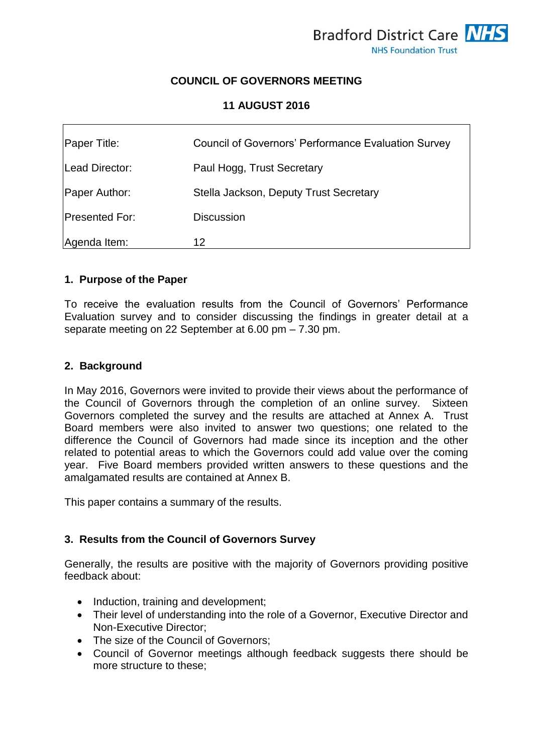# **COUNCIL OF GOVERNORS MEETING**

## **11 AUGUST 2016**

| Paper Title:          | <b>Council of Governors' Performance Evaluation Survey</b> |
|-----------------------|------------------------------------------------------------|
| Lead Director:        | Paul Hogg, Trust Secretary                                 |
| Paper Author:         | Stella Jackson, Deputy Trust Secretary                     |
| <b>Presented For:</b> | <b>Discussion</b>                                          |
| Agenda Item:          | 12                                                         |

## **1. Purpose of the Paper**

To receive the evaluation results from the Council of Governors' Performance Evaluation survey and to consider discussing the findings in greater detail at a separate meeting on 22 September at 6.00 pm – 7.30 pm.

## **2. Background**

In May 2016, Governors were invited to provide their views about the performance of the Council of Governors through the completion of an online survey. Sixteen Governors completed the survey and the results are attached at Annex A. Trust Board members were also invited to answer two questions; one related to the difference the Council of Governors had made since its inception and the other related to potential areas to which the Governors could add value over the coming year. Five Board members provided written answers to these questions and the amalgamated results are contained at Annex B.

This paper contains a summary of the results.

# **3. Results from the Council of Governors Survey**

Generally, the results are positive with the majority of Governors providing positive feedback about:

- Induction, training and development;
- Their level of understanding into the role of a Governor, Executive Director and Non-Executive Director;
- The size of the Council of Governors;
- Council of Governor meetings although feedback suggests there should be more structure to these;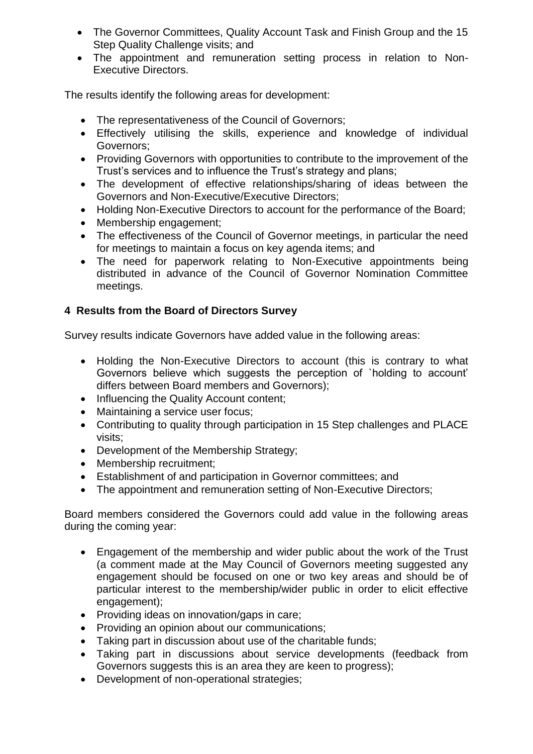- The Governor Committees, Quality Account Task and Finish Group and the 15 Step Quality Challenge visits; and
- The appointment and remuneration setting process in relation to Non-Executive Directors.

The results identify the following areas for development:

- The representativeness of the Council of Governors;
- Effectively utilising the skills, experience and knowledge of individual Governors;
- Providing Governors with opportunities to contribute to the improvement of the Trust's services and to influence the Trust's strategy and plans;
- The development of effective relationships/sharing of ideas between the Governors and Non-Executive/Executive Directors;
- Holding Non-Executive Directors to account for the performance of the Board;
- Membership engagement:
- The effectiveness of the Council of Governor meetings, in particular the need for meetings to maintain a focus on key agenda items; and
- The need for paperwork relating to Non-Executive appointments being distributed in advance of the Council of Governor Nomination Committee meetings.

## **4 Results from the Board of Directors Survey**

Survey results indicate Governors have added value in the following areas:

- Holding the Non-Executive Directors to account (this is contrary to what Governors believe which suggests the perception of `holding to account' differs between Board members and Governors);
- Influencing the Quality Account content:
- Maintaining a service user focus;
- Contributing to quality through participation in 15 Step challenges and PLACE visits;
- Development of the Membership Strategy;
- Membership recruitment;
- Establishment of and participation in Governor committees; and
- The appointment and remuneration setting of Non-Executive Directors;

Board members considered the Governors could add value in the following areas during the coming year:

- Engagement of the membership and wider public about the work of the Trust (a comment made at the May Council of Governors meeting suggested any engagement should be focused on one or two key areas and should be of particular interest to the membership/wider public in order to elicit effective engagement);
- Providing ideas on innovation/gaps in care;
- Providing an opinion about our communications;
- Taking part in discussion about use of the charitable funds;
- Taking part in discussions about service developments (feedback from Governors suggests this is an area they are keen to progress);
- Development of non-operational strategies;